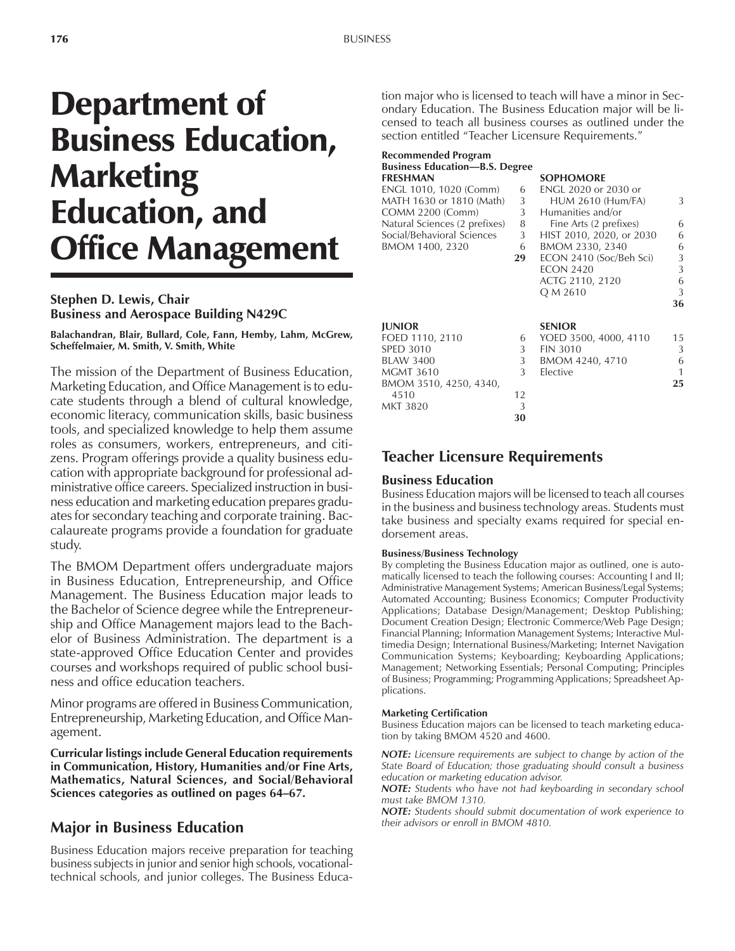# Department of Business Education, **Marketing** Education, and Office Management

### **Stephen D. Lewis, Chair Business and Aerospace Building N429C**

**Balachandran, Blair, Bullard, Cole, Fann, Hemby, Lahm, McGrew, Scheffelmaier, M. Smith, V. Smith, White**

The mission of the Department of Business Education, Marketing Education, and Office Management is to educate students through a blend of cultural knowledge, economic literacy, communication skills, basic business tools, and specialized knowledge to help them assume roles as consumers, workers, entrepreneurs, and citizens. Program offerings provide a quality business education with appropriate background for professional administrative office careers. Specialized instruction in business education and marketing education prepares graduates for secondary teaching and corporate training. Baccalaureate programs provide a foundation for graduate study.

The BMOM Department offers undergraduate majors in Business Education, Entrepreneurship, and Office Management. The Business Education major leads to the Bachelor of Science degree while the Entrepreneurship and Office Management majors lead to the Bachelor of Business Administration. The department is a state-approved Office Education Center and provides courses and workshops required of public school business and office education teachers.

Minor programs are offered in Business Communication, Entrepreneurship, Marketing Education, and Office Management.

**Curricular listings include General Education requirements in Communication, History, Humanities and/or Fine Arts, Mathematics, Natural Sciences, and Social/Behavioral** Sciences categories as outlined on pages 64–67.

# **Major in Business Education**

Business Education majors receive preparation for teaching business subjects in junior and senior high schools, vocationaltechnical schools, and junior colleges. The Business Education major who is licensed to teach will have a minor in Secondary Education. The Business Education major will be licensed to teach all business courses as outlined under the section entitled "Teacher Licensure Requirements."

# **Recommended Program Business Education—B.S. Degree FRESHMAN SOPHOMORE**<br>ENGL 1010, 1020 (Comm) 6 ENGL 2020 or 2030 or ENGL 1010, 1020 (Comm) 6 ENGL 2020 or 2030 or MATH 1630 or 1810 (Math) 3 HUM 2610 (Hum/FA) 3 COMM 2200 (Comm) 3 Humanities and/or Natural Sciences (2 prefixes) Social/Behavioral Sciences 3 BMOM 1400, 2320 6

| <b>JUNIOR</b>          |    | <b>SENIOR</b>         |    |
|------------------------|----|-----------------------|----|
| FOED 1110, 2110        | 6  | YOED 3500, 4000, 4110 | 15 |
| <b>SPED 3010</b>       |    | <b>FIN 3010</b>       | 3  |
| <b>BLAW 3400</b>       | 3  | BMOM 4240, 4710       | 6  |
| <b>MGMT 3610</b>       | 3  | Elective              | 1  |
| BMOM 3510, 4250, 4340, |    |                       | 25 |
| 4510                   | 12 |                       |    |
| <b>MKT 3820</b>        | 3  |                       |    |
|                        | 30 |                       |    |

| Natural Sciences (2 prefixes) | 8  | Fine Arts (2 prefixes)   | 6  |
|-------------------------------|----|--------------------------|----|
| Social/Behavioral Sciences    | 3  | HIST 2010, 2020, or 2030 | 6  |
| BMOM 1400, 2320               | 6  | BMOM 2330, 2340          | 6  |
|                               | 29 | ECON 2410 (Soc/Beh Sci)  | 3  |
|                               |    | <b>ECON 2420</b>         | 3  |
|                               |    | ACTG 2110, 2120          | 6  |
|                               |    | Q M 2610                 | 3  |
|                               |    |                          | 36 |
| <b>IUNIOR</b>                 |    | <b>SENIOR</b>            |    |
| FOED 1110, 2110               | 6  | YOED 3500, 4000, 4110    | 15 |
| <b>SPED 3010</b>              | 3  | <b>FIN 3010</b>          | 3  |
|                               |    |                          |    |

# **Teacher Licensure Requirements**

#### **Business Education**

Business Education majors will be licensed to teach all courses in the business and business technology areas. Students must take business and specialty exams required for special endorsement areas.

#### **Business/Business Technology**

By completing the Business Education major as outlined, one is automatically licensed to teach the following courses: Accounting I and II; Administrative Management Systems; American Business/Legal Systems; Automated Accounting; Business Economics; Computer Productivity Applications; Database Design/Management; Desktop Publishing; Document Creation Design; Electronic Commerce/Web Page Design; Financial Planning; Information Management Systems; Interactive Multimedia Design; International Business/Marketing; Internet Navigation Communication Systems; Keyboarding; Keyboarding Applications; Management; Networking Essentials; Personal Computing; Principles of Business; Programming; Programming Applications; Spreadsheet Applications.

#### **Marketing Certification**

Business Education majors can be licensed to teach marketing education by taking BMOM 4520 and 4600.

*NOTE: Licensure requirements are subject to change by action of the State Board of Education; those graduating should consult a business education or marketing education advisor.*

*NOTE: Students who have not had keyboarding in secondary school must take BMOM 1310.*

*NOTE: Students should submit documentation of work experience to their advisors or enroll in BMOM 4810.*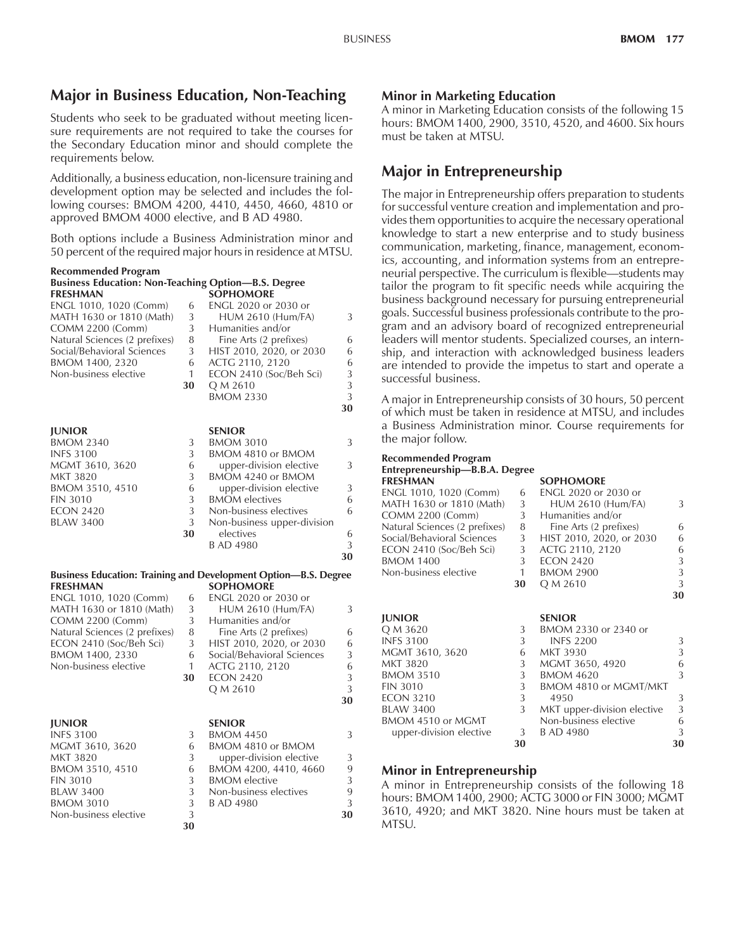# **Major in Business Education, Non-Teaching**

Students who seek to be graduated without meeting licensure requirements are not required to take the courses for the Secondary Education minor and should complete the requirements below.

Additionally, a business education, non-licensure training and development option may be selected and includes the following courses: BMOM 4200, 4410, 4450, 4660, 4810 or approved BMOM 4000 elective, and B AD 4980.

Both options include a Business Administration minor and 50 percent of the required major hours in residence at MTSU.

#### **Recommended Program Business Education: Non-Teaching Option–B.S. Degree**<br>ERESHMAN **FRESHMAN SOPHOMORE**

| I REJHIVIAIN<br>ENGL 1010, 1020 (Comm)<br>MATH 1630 or 1810 (Math)<br>COMM 2200 (Comm)<br>Natural Sciences (2 prefixes)<br>Social/Behavioral Sciences<br>BMOM 1400, 2320<br>Non-business elective | 6<br>3<br>3<br>8<br>3<br>6<br>1<br>30 | <b>JUI HUINUNL</b><br>ENGL 2020 or 2030 or<br><b>HUM 2610 (Hum/FA)</b><br>Humanities and/or<br>Fine Arts (2 prefixes)<br>HIST 2010, 2020, or 2030<br>ACTG 2110, 2120<br>ECON 2410 (Soc/Beh Sci)<br>Q M 2610<br><b>BMOM 2330</b>                                                                            | 3<br>6<br>6<br>6<br>3<br>3<br>3<br>30 |
|---------------------------------------------------------------------------------------------------------------------------------------------------------------------------------------------------|---------------------------------------|------------------------------------------------------------------------------------------------------------------------------------------------------------------------------------------------------------------------------------------------------------------------------------------------------------|---------------------------------------|
| <b>JUNIOR</b>                                                                                                                                                                                     |                                       | <b>SENIOR</b>                                                                                                                                                                                                                                                                                              |                                       |
| <b>BMOM 2340</b>                                                                                                                                                                                  | 3                                     | <b>BMOM 3010</b>                                                                                                                                                                                                                                                                                           | 3                                     |
| <b>INFS 3100</b>                                                                                                                                                                                  | 3                                     | BMOM 4810 or BMOM                                                                                                                                                                                                                                                                                          |                                       |
| MGMT 3610, 3620                                                                                                                                                                                   | 6                                     | upper-division elective                                                                                                                                                                                                                                                                                    | 3                                     |
| MKT 3820                                                                                                                                                                                          | 3                                     | BMOM 4240 or BMOM                                                                                                                                                                                                                                                                                          |                                       |
| BMOM 3510, 4510<br><b>FIN 3010</b>                                                                                                                                                                | 6<br>3                                | upper-division elective<br><b>BMOM</b> electives                                                                                                                                                                                                                                                           | 3<br>6                                |
| <b>ECON 2420</b>                                                                                                                                                                                  | 3                                     | Non-business electives                                                                                                                                                                                                                                                                                     | 6                                     |
| <b>BLAW 3400</b>                                                                                                                                                                                  | 3                                     | Non-business upper-division                                                                                                                                                                                                                                                                                |                                       |
|                                                                                                                                                                                                   | 30                                    | electives                                                                                                                                                                                                                                                                                                  | 6                                     |
|                                                                                                                                                                                                   |                                       | <b>B AD 4980</b>                                                                                                                                                                                                                                                                                           | 3<br>30                               |
| <b>FRESHMAN</b><br>ENGL 1010, 1020 (Comm)<br>MATH 1630 or 1810 (Math)<br>COMM 2200 (Comm)<br>Natural Sciences (2 prefixes)<br>ECON 2410 (Soc/Beh Sci)<br>BMOM 1400, 2330<br>Non-business elective | 6<br>3<br>3<br>8<br>3<br>6<br>1<br>30 | <b>Business Education: Training and Development Option-B.S. Degree</b><br><b>SOPHOMORE</b><br>ENGL 2020 or 2030 or<br><b>HUM 2610 (Hum/FA)</b><br>Humanities and/or<br>Fine Arts (2 prefixes)<br>HIST 2010, 2020, or 2030<br>Social/Behavioral Sciences<br>ACTG 2110, 2120<br><b>ECON 2420</b><br>Q M 2610 | 3<br>6<br>6<br>3<br>6<br>3<br>3<br>30 |
| <b>JUNIOR</b>                                                                                                                                                                                     |                                       | <b>SENIOR</b>                                                                                                                                                                                                                                                                                              |                                       |
| <b>INFS 3100</b>                                                                                                                                                                                  | 3                                     | <b>BMOM 4450</b>                                                                                                                                                                                                                                                                                           | 3                                     |
| MGMT 3610, 3620                                                                                                                                                                                   | 6                                     | BMOM 4810 or BMOM                                                                                                                                                                                                                                                                                          |                                       |
| MKT 3820                                                                                                                                                                                          | 3                                     | upper-division elective                                                                                                                                                                                                                                                                                    | 3                                     |
| BMOM 3510, 4510<br><b>FIN 3010</b>                                                                                                                                                                | 6<br>3                                | BMOM 4200, 4410, 4660<br><b>BMOM</b> elective                                                                                                                                                                                                                                                              | 9<br>3                                |
| <b>BLAW 3400</b>                                                                                                                                                                                  | 3                                     | Non-business electives                                                                                                                                                                                                                                                                                     | 9                                     |
| <b>BMOM 3010</b>                                                                                                                                                                                  | 3                                     | B AD 4980                                                                                                                                                                                                                                                                                                  | 3                                     |
| Non-business elective                                                                                                                                                                             | 3                                     |                                                                                                                                                                                                                                                                                                            | 30                                    |
|                                                                                                                                                                                                   | 30                                    |                                                                                                                                                                                                                                                                                                            |                                       |

### **Minor in Marketing Education**

A minor in Marketing Education consists of the following 15 hours: BMOM 1400, 2900, 3510, 4520, and 4600. Six hours must be taken at MTSU.

# **Major in Entrepreneurship**

The major in Entrepreneurship offers preparation to students for successful venture creation and implementation and provides them opportunities to acquire the necessary operational knowledge to start a new enterprise and to study business communication, marketing, finance, management, economics, accounting, and information systems from an entrepreneurial perspective. The curriculum is flexible—students may tailor the program to fit specific needs while acquiring the business background necessary for pursuing entrepreneurial goals. Successful business professionals contribute to the program and an advisory board of recognized entrepreneurial leaders will mentor students. Specialized courses, an internship, and interaction with acknowledged business leaders are intended to provide the impetus to start and operate a successful business.

A major in Entrepreneurship consists of 30 hours, 50 percent of which must be taken in residence at MTSU, and includes a Business Administration minor. Course requirements for the major follow.

#### **Recommended Program** Entrepreneurship—B.B.A. Degree<br>FRESHMAN **SOPHOMORE** ENGL 1010, 1020 (Comm) 6 ENGL 2020 or 2030 or MATH 1630 or 1810 (Math) 3 HUM 2610 (Hum/FA) 3 COMM 2200 (Comm) 3 Humanities and/or Natural Sciences (2 prefixes) 8 Fine Arts (2 prefixes) 6

Social/Behavioral Sciences 3 HIST 2010, 2020, or 2030 6 ECON 2410 (Soc/Beh Sci) 3 ACTG 2110, 2120 6 BMOM 1400 3 ECON 2420 3 Non-business elective 1 BMOM 2900 3<br>3 0 M 2610 3 **30** Q M 2610 3

**30**

### **JUNIOR SENIOR**

| BMOM 2330 or 2340 or<br>3   | Q M 3620                |
|-----------------------------|-------------------------|
| <b>INFS 2200</b><br>3       | <b>INFS 3100</b>        |
| MKT 3930<br>6               | MGMT 3610, 3620         |
| MGMT 3650, 4920<br>3        | MKT 3820                |
| <b>BMOM 4620</b><br>3       | <b>BMOM 3510</b>        |
| BMOM 4810 or MGMT/MKT<br>3  | <b>FIN 3010</b>         |
| 4950<br>3                   | <b>ECON 3210</b>        |
| 3<br>3                      | <b>BLAW 3400</b>        |
| Non-business elective       | BMOM 4510 or MGMT       |
| B AD 4980<br>3              | upper-division elective |
| 30<br>30                    |                         |
| MKT upper-division elective |                         |

### **Minor in Entrepreneurship**

A minor in Entrepreneurship consists of the following 18 hours: BMOM 1400, 2900; ACTG 3000 or FIN 3000; MGMT 3610, 4920; and MKT 3820. Nine hours must be taken at MTSU.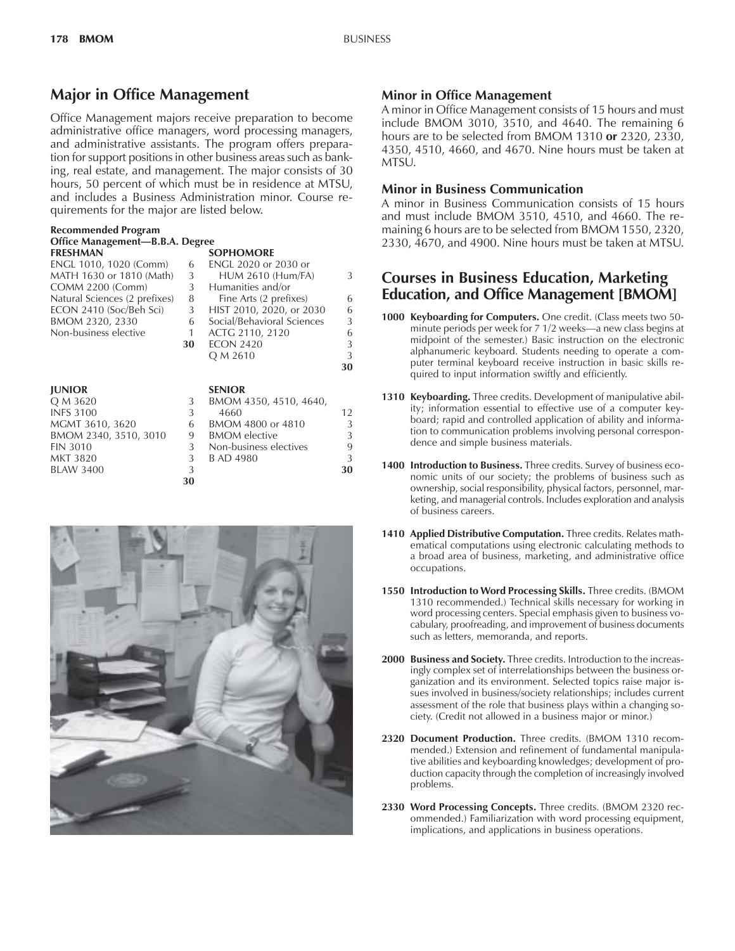**BLAW 3400** 

# **Major in Office Management**

Office Management majors receive preparation to become administrative office managers, word processing managers, and administrative assistants. The program offers preparation for support positions in other business areas such as banking, real estate, and management. The major consists of 30 hours, 50 percent of which must be in residence at MTSU, and includes a Business Administration minor. Course requirements for the major are listed below.

#### **Recommended Program Office Management-B.B.A. Degree FRESHMAN SOPHOMORE**<br>**FNGL 1010. 1020 (Comm)** 6 **FNGL 2020 or 2030 or** ENGL 1010, 1020 (Comm) 6 ENGL 2020 or 2030 or<br>MATH 1630 or 1810 (Math) 3 HUM 2610 (Hum/FA) MATH 1630 or 1810 (Math) 3 HUM 2610 (Hum/FA) 3 COMM 2200 (Comm) 3 Humanities and/or<br>Natural Sciences (2 prefixes) 8 Fine Arts (2 prefixes) Natural Sciences (2 prefixes) 8 Fine Arts (2 prefixes) 6 ECON 2410 (Soc/Beh Sci) 3 HIST 2010, 2020, or 2030 6 BMOM 2320, 2330 6 Social/Behavioral Sciences 3 Non-business elective 1 ACTG 2110, 2120 6 **30** ECON 2420 **3**<br> **20** M 2610 **3** Q M 2610 **30 JUNIOR** SENIOR<br>
O M 3620 3 BMOM BMOM 4350, 4510, 4640, INFS 3100 3 4660 12 MGMT 3610, 3620 6 BMOM 4800 or 4810 3<br>BMOM 2340. 3510. 3010 9 BMOM elective 3 BMOM 2340, 3510, 3010 FIN 3010 3 Non-business electives 9 MKT 3820 3 B AD 4980 3<br>BLAW 3400 3 3

**30**



### **Minor in Office Management**

A minor in Office Management consists of 15 hours and must include BMOM 3010, 3510, and 4640. The remaining 6 hours are to be selected from BMOM 1310 **or** 2320, 2330, 4350, 4510, 4660, and 4670. Nine hours must be taken at MTSU.

### **Minor in Business Communication**

A minor in Business Communication consists of 15 hours and must include BMOM 3510, 4510, and 4660. The remaining 6 hours are to be selected from BMOM 1550, 2320, 2330, 4670, and 4900. Nine hours must be taken at MTSU.

# **Courses in Business Education, Marketing Education, and Office Management [BMOM]**

- **1000 Keyboarding for Computers.** One credit. (Class meets two 50 minute periods per week for 7 1/2 weeks-a new class begins at midpoint of the semester.) Basic instruction on the electronic alphanumeric keyboard. Students needing to operate a computer terminal keyboard receive instruction in basic skills required to input information swiftly and efficiently.
- **1310 Keyboarding.** Three credits. Development of manipulative ability; information essential to effective use of a computer keyboard; rapid and controlled application of ability and information to communication problems involving personal correspondence and simple business materials.
- **1400 Introduction to Business.** Three credits. Survey of business economic units of our society; the problems of business such as ownership, social responsibility, physical factors, personnel, marketing, and managerial controls. Includes exploration and analysis of business careers.
- **1410 Applied Distributive Computation.** Three credits. Relates mathematical computations using electronic calculating methods to a broad area of business, marketing, and administrative office occupations.
- **1550 Introduction to Word Processing Skills.** Three credits. (BMOM 1310 recommended.) Technical skills necessary for working in word processing centers. Special emphasis given to business vocabulary, proofreading, and improvement of business documents such as letters, memoranda, and reports.
- **2000 Business and Society.** Three credits. Introduction to the increasingly complex set of interrelationships between the business organization and its environment. Selected topics raise major issues involved in business/society relationships; includes current assessment of the role that business plays within a changing society. (Credit not allowed in a business major or minor.)
- **2320 Document Production.** Three credits. (BMOM 1310 recommended.) Extension and refinement of fundamental manipulative abilities and keyboarding knowledges; development of production capacity through the completion of increasingly involved problems.
- **2330 Word Processing Concepts.** Three credits. (BMOM 2320 recommended.) Familiarization with word processing equipment, implications, and applications in business operations.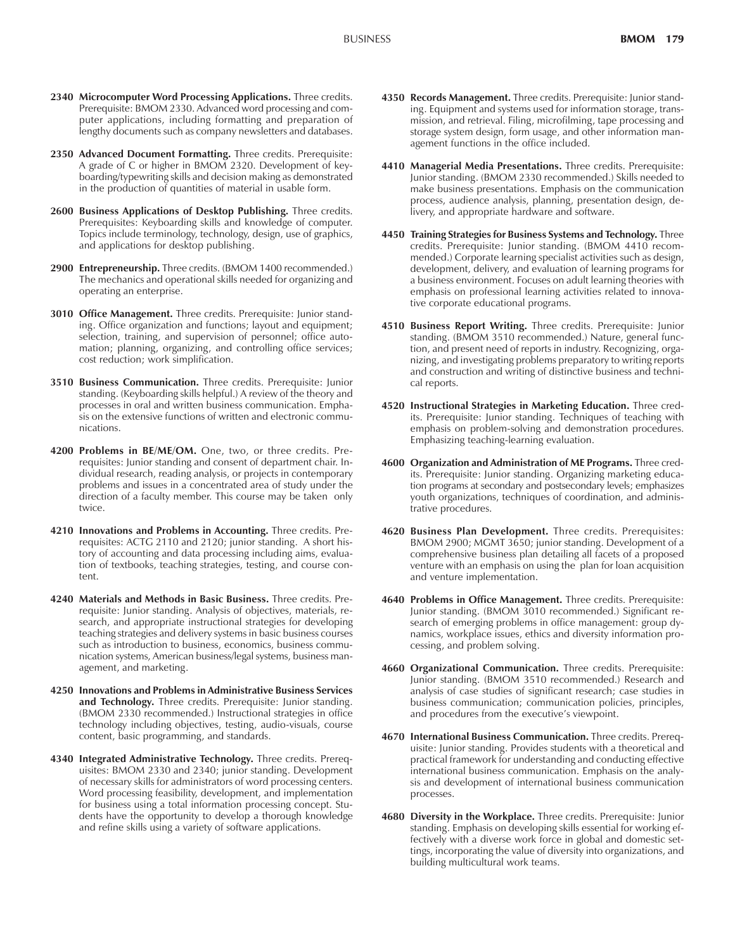- **2340 Microcomputer Word Processing Applications.** Three credits. Prerequisite: BMOM 2330. Advanced word processing and computer applications, including formatting and preparation of lengthy documents such as company newsletters and databases.
- **2350 Advanced Document Formatting.** Three credits. Prerequisite: A grade of C or higher in BMOM 2320. Development of keyboarding/typewriting skills and decision making as demonstrated in the production of quantities of material in usable form.
- **2600 Business Applications of Desktop Publishing.** Three credits. Prerequisites: Keyboarding skills and knowledge of computer. Topics include terminology, technology, design, use of graphics, and applications for desktop publishing.
- **2900 Entrepreneurship.** Three credits. (BMOM 1400 recommended.) The mechanics and operational skills needed for organizing and operating an enterprise.
- **3010 Office Management.** Three credits. Prerequisite: Junior standing. Office organization and functions; layout and equipment; selection, training, and supervision of personnel; office automation; planning, organizing, and controlling office services; cost reduction; work simplification.
- **3510 Business Communication.** Three credits. Prerequisite: Junior standing. (Keyboarding skills helpful.) A review of the theory and processes in oral and written business communication. Emphasis on the extensive functions of written and electronic communications.
- **4200 Problems in BE/ME/OM.** One, two, or three credits. Prerequisites: Junior standing and consent of department chair. Individual research, reading analysis, or projects in contemporary problems and issues in a concentrated area of study under the direction of a faculty member. This course may be taken only twice.
- **4210 Innovations and Problems in Accounting.** Three credits. Prerequisites: ACTG 2110 and 2120; junior standing. A short history of accounting and data processing including aims, evaluation of textbooks, teaching strategies, testing, and course content.
- **4240 Materials and Methods in Basic Business.** Three credits. Prerequisite: Junior standing. Analysis of objectives, materials, research, and appropriate instructional strategies for developing teaching strategies and delivery systems in basic business courses such as introduction to business, economics, business communication systems, American business/legal systems, business management, and marketing.
- **4250 Innovations and Problems in Administrative Business Services and Technology.** Three credits. Prerequisite: Junior standing. (BMOM 2330 recommended.) Instructional strategies in office technology including objectives, testing, audio-visuals, course content, basic programming, and standards.
- **4340 Integrated Administrative Technology.** Three credits. Prerequisites: BMOM 2330 and 2340; junior standing. Development of necessary skills for administrators of word processing centers. Word processing feasibility, development, and implementation for business using a total information processing concept. Students have the opportunity to develop a thorough knowledge and refine skills using a variety of software applications.
- **4350 Records Management.** Three credits. Prerequisite: Junior standing. Equipment and systems used for information storage, transmission, and retrieval. Filing, microfilming, tape processing and storage system design, form usage, and other information management functions in the office included.
- **4410 Managerial Media Presentations.** Three credits. Prerequisite: Junior standing. (BMOM 2330 recommended.) Skills needed to make business presentations. Emphasis on the communication process, audience analysis, planning, presentation design, delivery, and appropriate hardware and software.
- **4450 Training Strategies for Business Systems and Technology.** Three credits. Prerequisite: Junior standing. (BMOM 4410 recommended.) Corporate learning specialist activities such as design, development, delivery, and evaluation of learning programs for a business environment. Focuses on adult learning theories with emphasis on professional learning activities related to innovative corporate educational programs.
- **4510 Business Report Writing.** Three credits. Prerequisite: Junior standing. (BMOM 3510 recommended.) Nature, general function, and present need of reports in industry. Recognizing, organizing, and investigating problems preparatory to writing reports and construction and writing of distinctive business and technical reports.
- **4520 Instructional Strategies in Marketing Education.** Three credits. Prerequisite: Junior standing. Techniques of teaching with emphasis on problem-solving and demonstration procedures. Emphasizing teaching-learning evaluation.
- **4600 Organization and Administration of ME Programs.** Three credits. Prerequisite: Junior standing. Organizing marketing education programs at secondary and postsecondary levels; emphasizes youth organizations, techniques of coordination, and administrative procedures.
- **4620 Business Plan Development.** Three credits. Prerequisites: BMOM 2900; MGMT 3650; junior standing. Development of a comprehensive business plan detailing all facets of a proposed venture with an emphasis on using the plan for loan acquisition and venture implementation.
- **4640 Problems in Office Management.** Three credits. Prerequisite: Junior standing. (BMOM 3010 recommended.) Significant research of emerging problems in office management: group dynamics, workplace issues, ethics and diversity information processing, and problem solving.
- **4660 Organizational Communication.** Three credits. Prerequisite: Junior standing. (BMOM 3510 recommended.) Research and analysis of case studies of significant research; case studies in business communication; communication policies, principles, and procedures from the executive's viewpoint.
- **4670 International Business Communication.** Three credits. Prerequisite: Junior standing. Provides students with a theoretical and practical framework for understanding and conducting effective international business communication. Emphasis on the analysis and development of international business communication processes.
- **4680 Diversity in the Workplace.** Three credits. Prerequisite: Junior standing. Emphasis on developing skills essential for working effectively with a diverse work force in global and domestic settings, incorporating the value of diversity into organizations, and building multicultural work teams.